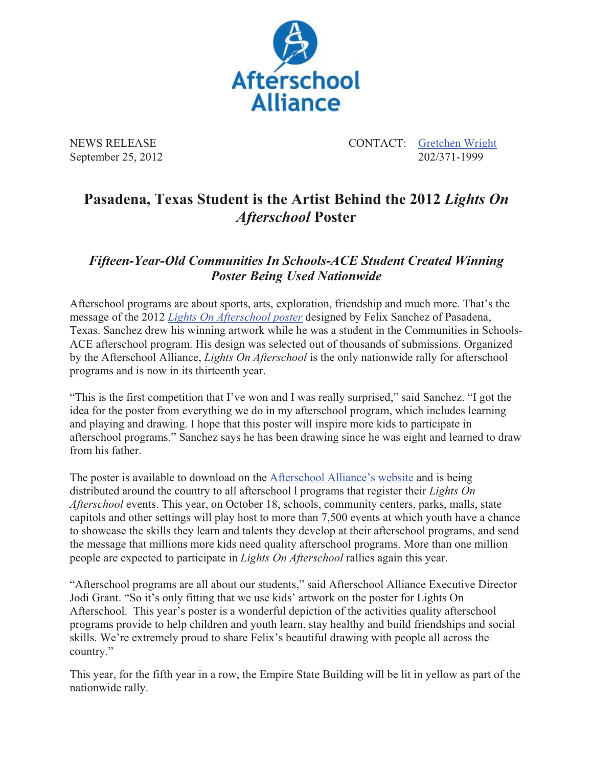

September 25, 2012

NEWS RELEASE CONTACT: Content CONTACT: Content CONTACT: Content CONTACT: Content CONTACT: Content CONTACT: Content CONTACT: Content CONTACT: Content CONTACT: Content CONTACT: Content CONTACT: Content CONTACT: Content CONTA

## **Pasadena, Texas Student is the Artist Behind the 2012** *Lights On Afterschool* **Poster**

## *Fifteen-Year-Old Communities In Schools-ACE Student Created Winning Poster Being Used Nationwide*

Afterschool programs are about sports, arts, exploration, friendship and much more. That's the message of the 2012 *Lights On Afterschool poster* designed by Felix Sanchez of Pasadena, Texas. Sanchez drew his winning artwork while he was a student in the Communities in Schools-ACE afterschool program. His design was selected out of thousands of submissions. Organized by the Afterschool Alliance, *Lights On Afterschool* is the only nationwide rally for afterschool programs and is now in its thirteenth year.

"This is the first competition that I've won and I was really surprised," said Sanchez. "I got the idea for the poster from everything we do in my afterschool program, which includes learning and playing and drawing. I hope that this poster will inspire more kids to participate in afterschool programs." Sanchez says he has been drawing since he was eight and learned to draw from his father.

The poster is available to download on the Afterschool Alliance's website and is being distributed around the country to all afterschool l programs that register their *Lights On Afterschool* events. This year, on October 18, schools, community centers, parks, malls, state capitols and other settings will play host to more than 7,500 events at which youth have a chance to showcase the skills they learn and talents they develop at their afterschool programs, and send the message that millions more kids need quality afterschool programs. More than one million people are expected to participate in *Lights On Afterschool* rallies again this year.

"Afterschool programs are all about our students," said Afterschool Alliance Executive Director Jodi Grant. "So it's only fitting that we use kids' artwork on the poster for Lights On Afterschool. This year's poster is a wonderful depiction of the activities quality afterschool programs provide to help children and youth learn, stay healthy and build friendships and social skills. We're extremely proud to share Felix's beautiful drawing with people all across the country."

This year, for the fifth year in a row, the Empire State Building will be lit in yellow as part of the nationwide rally.